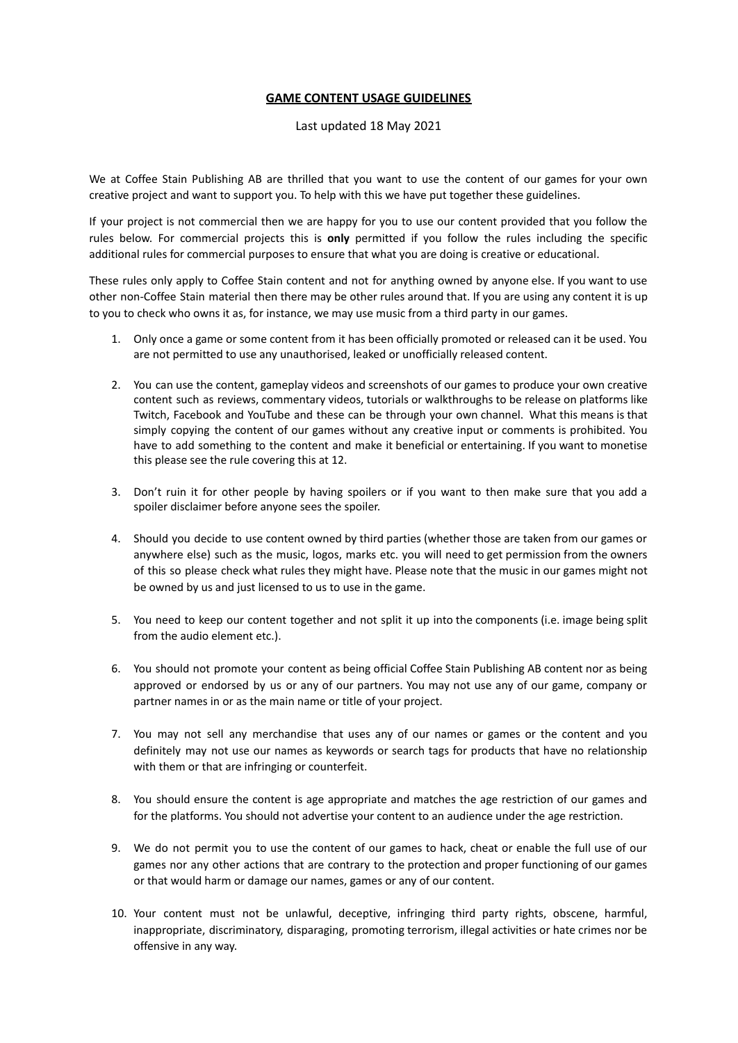## **GAME CONTENT USAGE GUIDELINES**

## Last updated 18 May 2021

We at Coffee Stain Publishing AB are thrilled that you want to use the content of our games for your own creative project and want to support you. To help with this we have put together these guidelines.

If your project is not commercial then we are happy for you to use our content provided that you follow the rules below. For commercial projects this is **only** permitted if you follow the rules including the specific additional rules for commercial purposes to ensure that what you are doing is creative or educational.

These rules only apply to Coffee Stain content and not for anything owned by anyone else. If you want to use other non-Coffee Stain material then there may be other rules around that. If you are using any content it is up to you to check who owns it as, for instance, we may use music from a third party in our games.

- 1. Only once a game or some content from it has been officially promoted or released can it be used. You are not permitted to use any unauthorised, leaked or unofficially released content.
- 2. You can use the content, gameplay videos and screenshots of our games to produce your own creative content such as reviews, commentary videos, tutorials or walkthroughs to be release on platforms like Twitch, Facebook and YouTube and these can be through your own channel. What this means is that simply copying the content of our games without any creative input or comments is prohibited. You have to add something to the content and make it beneficial or entertaining. If you want to monetise this please see the rule covering this at 12.
- 3. Don't ruin it for other people by having spoilers or if you want to then make sure that you add a spoiler disclaimer before anyone sees the spoiler.
- 4. Should you decide to use content owned by third parties (whether those are taken from our games or anywhere else) such as the music, logos, marks etc. you will need to get permission from the owners of this so please check what rules they might have. Please note that the music in our games might not be owned by us and just licensed to us to use in the game.
- 5. You need to keep our content together and not split it up into the components (i.e. image being split from the audio element etc.).
- 6. You should not promote your content as being official Coffee Stain Publishing AB content nor as being approved or endorsed by us or any of our partners. You may not use any of our game, company or partner names in or as the main name or title of your project.
- 7. You may not sell any merchandise that uses any of our names or games or the content and you definitely may not use our names as keywords or search tags for products that have no relationship with them or that are infringing or counterfeit.
- 8. You should ensure the content is age appropriate and matches the age restriction of our games and for the platforms. You should not advertise your content to an audience under the age restriction.
- 9. We do not permit you to use the content of our games to hack, cheat or enable the full use of our games nor any other actions that are contrary to the protection and proper functioning of our games or that would harm or damage our names, games or any of our content.
- 10. Your content must not be unlawful, deceptive, infringing third party rights, obscene, harmful, inappropriate, discriminatory, disparaging, promoting terrorism, illegal activities or hate crimes nor be offensive in any way.